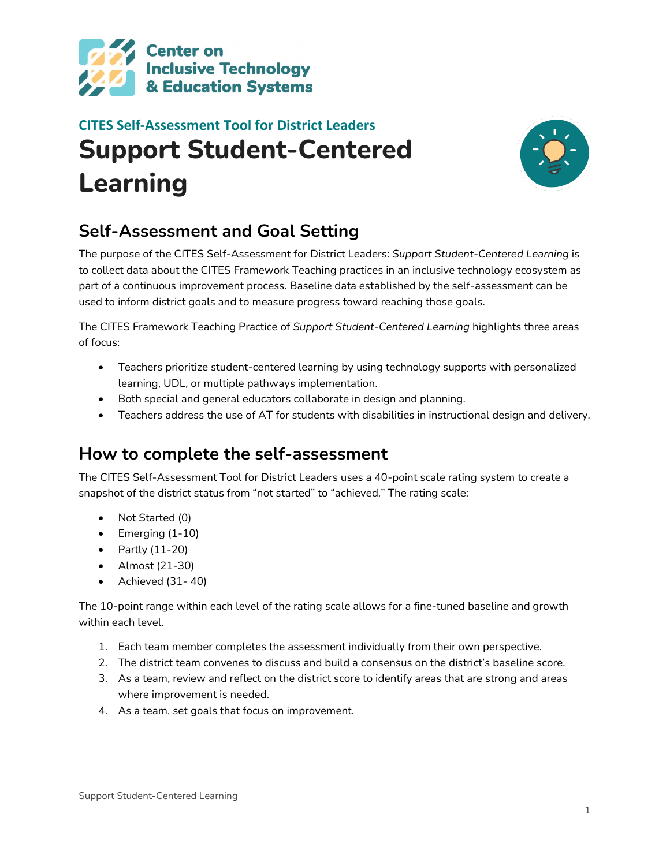

# **CITES Self-Assessment Tool for District Leaders Support Student-Centered Learning**



### **Self-Assessment and Goal Setting**

The purpose of the CITES Self-Assessment for District Leaders: *Support Student-Centered Learning* is to collect data about the CITES Framework Teaching practices in an inclusive technology ecosystem as part of a continuous improvement process. Baseline data established by the self-assessment can be used to inform district goals and to measure progress toward reaching those goals.

The CITES Framework Teaching Practice of *Support Student-Centered Learning* highlights three areas of focus:

- Teachers prioritize student-centered learning by using technology supports with personalized learning, UDL, or multiple pathways implementation.
- Both special and general educators collaborate in design and planning.
- Teachers address the use of AT for students with disabilities in instructional design and delivery.

### **How to complete the self-assessment**

The CITES Self-Assessment Tool for District Leaders uses a 40-point scale rating system to create a snapshot of the district status from "not started" to "achieved." The rating scale:

- Not Started (0)
- Emerging (1-10)
- Partly (11-20)
- Almost (21-30)
- Achieved (31- 40)

The 10-point range within each level of the rating scale allows for a fine-tuned baseline and growth within each level.

- 1. Each team member completes the assessment individually from their own perspective.
- 2. The district team convenes to discuss and build a consensus on the district's baseline score.
- 3. As a team, review and reflect on the district score to identify areas that are strong and areas where improvement is needed.
- 4. As a team, set goals that focus on improvement.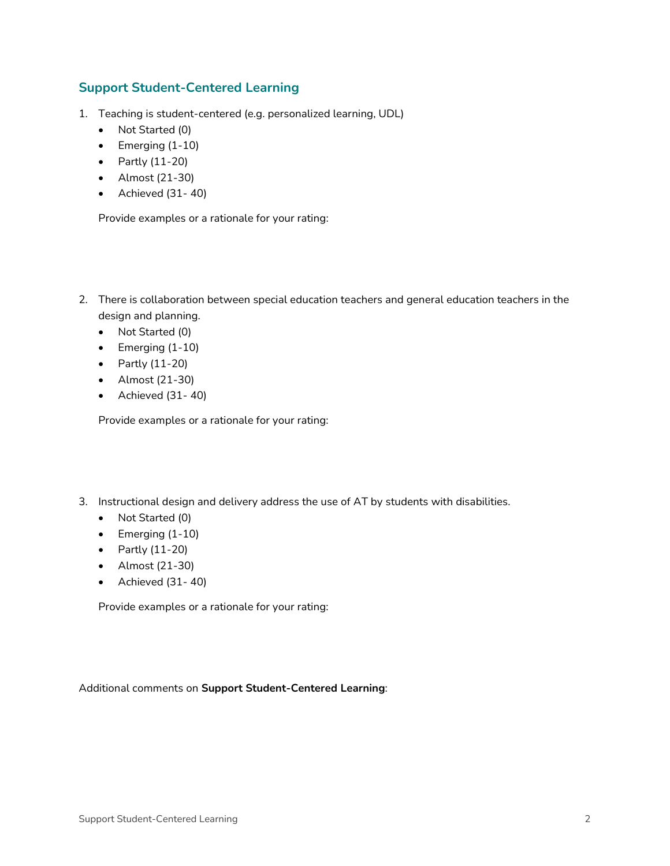#### **Support Student-Centered Learning**

- 1. Teaching is student-centered (e.g. personalized learning, UDL)
	- Not Started (0)
	- Emerging (1-10)
	- Partly (11-20)
	- Almost (21-30)
	- Achieved (31- 40)

Provide examples or a rationale for your rating:

- 2. There is collaboration between special education teachers and general education teachers in the design and planning.
	- Not Started (0)
	- Emerging (1-10)
	- Partly (11-20)
	- Almost (21-30)
	- Achieved (31- 40)

Provide examples or a rationale for your rating:

- 3. Instructional design and delivery address the use of AT by students with disabilities.
	- Not Started (0)
	- Emerging (1-10)
	- Partly (11-20)
	- Almost (21-30)
	- Achieved (31- 40)

Provide examples or a rationale for your rating:

Additional comments on **Support Student-Centered Learning**: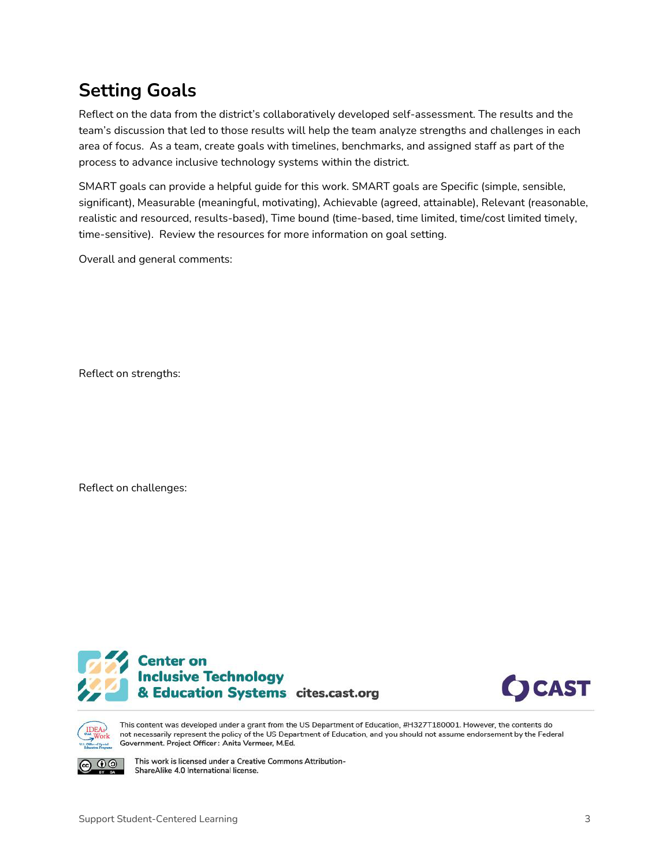## **Setting Goals**

Reflect on the data from the district's collaboratively developed self-assessment. The results and the team's discussion that led to those results will help the team analyze strengths and challenges in each area of focus. As a team, create goals with timelines, benchmarks, and assigned staff as part of the process to advance inclusive technology systems within the district.

SMART goals can provide a helpful guide for this work. SMART goals are Specific (simple, sensible, significant), Measurable (meaningful, motivating), Achievable (agreed, attainable), Relevant (reasonable, realistic and resourced, results-based), Time bound (time-based, time limited, time/cost limited timely, time-sensitive). Review the resources for more information on goal setting.

Overall and general comments:

Reflect on strengths:

Reflect on challenges:







 $\mathbf{0} \mathbf{0}$ 

This content was developed under a grant from the US Department of Education, #H327T180001. However, the contents do not necessarily represent the policy of the US Department of Education, and you should not assume endorsement by the Federal Government. Project Officer: Anita Vermeer, M.Ed.

This work is licensed under a Creative Commons Attribution-ShareAlike 4.0 International license.